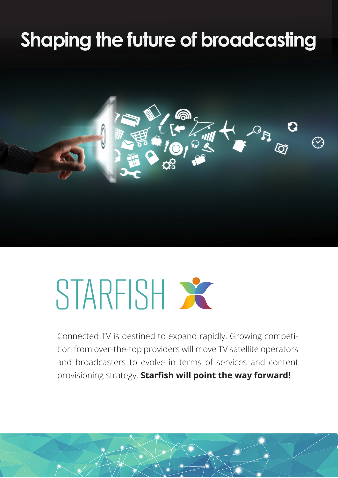## **Shaping the future of broadcasting**



# STARFISH X

Connected TV is destined to expand rapidly. Growing competition from over-the-top providers will move TV satellite operators and broadcasters to evolve in terms of services and content provisioning strategy. **Starfish will point the way forward!**

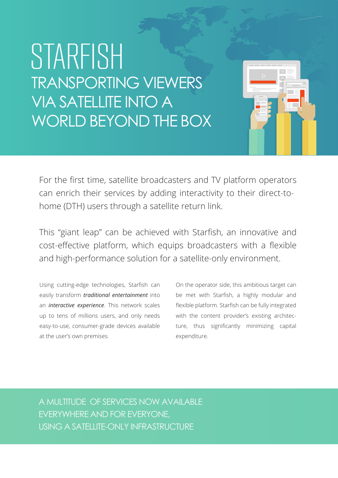### STARFISH TRANSPORTING VIEWERS VIA SATELLITE INTO A WORLD BEYOND THE BOX



This "giant leap" can be achieved with Starfish, an innovative and cost-effective platform, which equips broadcasters with a flexible and high-performance solution for a satellite-only environment.

Using cutting-edge technologies, Starfish can easily transform *traditional entertainment* into an *interactive experience*. This network scales up to tens of millions users, and only needs easy-to-use, consumer-grade devices available at the user's own premises.

On the operator side, this ambitious target can be met with Starfish, a highly modular and flexible platform. Starfish can be fully integrated with the content provider's existing architecture, thus significantly minimizing capital expenditure.

A MULTITUDE OF SERVICES NOW AVAILABLE EVERYWHERE AND FOR EVERYONE, USING A SATELLITE-ONLY INFRASTRUCTURE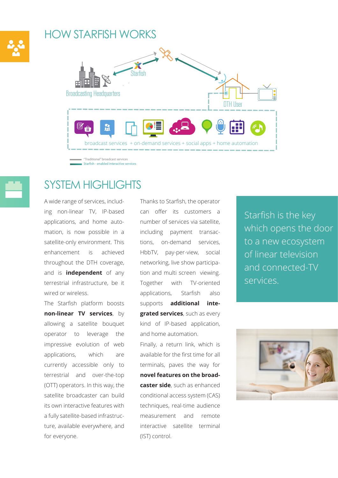### HOW STARFISH WORKS



Starfish - enabled interactive services



### SYSTEM HIGHLIGHTS

A wide range of services, including non-linear TV, IP-based applications, and home automation, is now possible in a satellite-only environment. This enhancement is achieved throughout the DTH coverage, and is **independent** of any terrestrial infrastructure, be it wired or wireless.

The Starfish platform boosts **non-linear TV services**, by allowing a satellite bouquet operator to leverage the impressive evolution of web applications, which are currently accessible only to terrestrial and over-the-top (OTT) operators. In this way, the satellite broadcaster can build its own interactive features with a fully satellite-based infrastructure, available everywhere, and for everyone.

Thanks to Starfish, the operator can offer its customers a number of services via satellite, including payment transactions, on-demand services, HbbTV, pay-per-view, social networking, live show participation and multi screen viewing. Together with TV-oriented applications, Starfish also supports **additional integrated services**, such as every kind of IP-based application, and home automation.

Finally, a return link, which is available for the first time for all terminals, paves the way for **novel features on the broadcaster side**, such as enhanced conditional access system (CAS) techniques, real-time audience measurement and remote interactive satellite terminal (IST) control.

Starfish is the key which opens the door to a new ecosystem of linear television and connected-TV services.

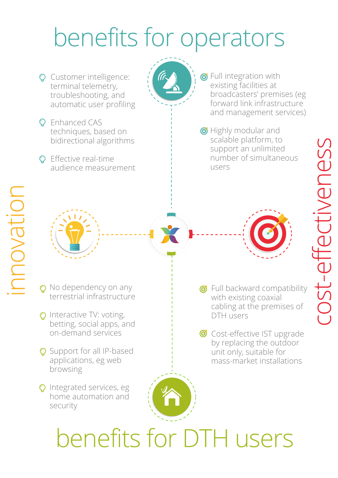## benefits for operators

- **Q** Customer intelligence: terminal telemetry, troubleshooting, and automatic user profiling
- **Q** Enhanced CAS techniques, based on bidirectional algorithms
- **O** Effective real-time audience measurement

**The Full integration with** existing facilities at broadcasters' premises (eg forward link infrastructure and management services)

**The Highly modular and** scalable platform, to support an unlimited number of simultaneous users



- **Q** No dependency on any terrestrial infrastructure
- O Interactive TV: voting, betting, social apps, and on-demand services
- **Q** Support for all IP-based applications, eg web browsing
- **Q** Integrated services, eg home automation and security



cost-effectiveness cost-ettectiveness

- **The Full backward compatibility** with existing coaxial cabling at the premises of DTH users
- Cost-effective IST upgrade by replacing the outdoor unit only, suitable for mass-market installations

benefits for DTH users